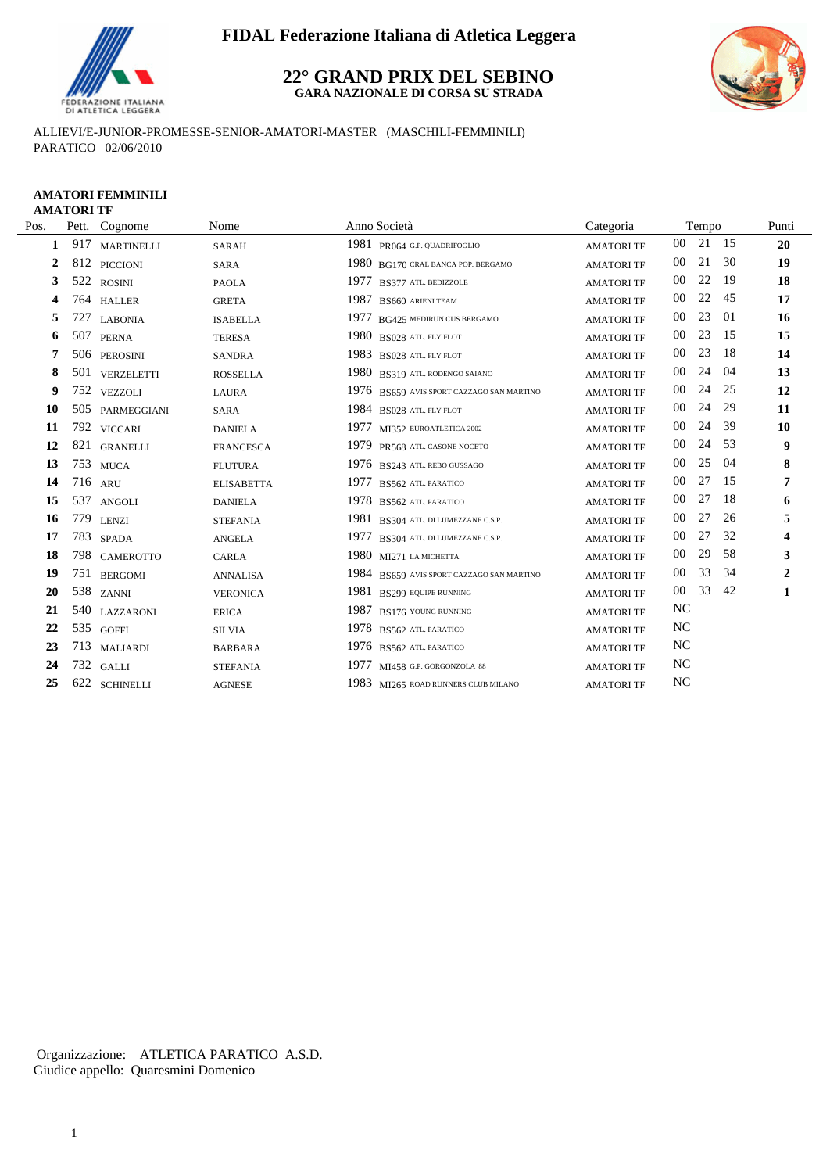

## **22° GRAND PRIX DEL SEBINO GARA NAZIONALE DI CORSA SU STRADA**



ALLIEVI/E-JUNIOR-PROMESSE-SENIOR-AMATORI-MASTER (MASCHILI-FEMMINILI) PARATICO 02/06/2010

### **AMATORI FEMMINILI AMATORI TF**

| Pos.         |     | Pett. Cognome     | Nome              | Anno Società                              | Categoria         |           | Tempo    |     | Punti                   |
|--------------|-----|-------------------|-------------------|-------------------------------------------|-------------------|-----------|----------|-----|-------------------------|
| $\mathbf{1}$ | 917 | <b>MARTINELLI</b> | <b>SARAH</b>      | 1981 PR064 G.P. QUADRIFOGLIO              | <b>AMATORI TF</b> |           | 00 21 15 |     | 20                      |
| 2            |     | 812 PICCIONI      | SARA              | 1980 BG170 CRAL BANCA POP. BERGAMO        | <b>AMATORI TF</b> | $00\,$    | 21       | 30  | 19                      |
| 3            | 522 | <b>ROSINI</b>     | <b>PAOLA</b>      | 1977<br>BS377 ATL. BEDIZZOLE              | <b>AMATORI TF</b> | 00        | 22       | -19 | 18                      |
| 4            | 764 | <b>HALLER</b>     | <b>GRETA</b>      | 1987<br>BS660 ARIENI TEAM                 | <b>AMATORI TF</b> | 00        | 22       | 45  | 17                      |
| 5            | 727 | <b>LABONIA</b>    | <b>ISABELLA</b>   | 1977 BG425 MEDIRUN CUS BERGAMO            | <b>AMATORI TF</b> | 00        | 23       | 01  | 16                      |
| 6            | 507 | <b>PERNA</b>      | <b>TERESA</b>     | 1980 BS028 ATL FLY FLOT                   | <b>AMATORI TF</b> | $00\,$    | 23       | 15  | 15                      |
| 7            |     | 506 PEROSINI      | <b>SANDRA</b>     | 1983 BS028 ATL. FLY FLOT                  | <b>AMATORI TF</b> | 00        | 23       | -18 | 14                      |
| 8            | 501 | VERZELETTI        | <b>ROSSELLA</b>   | 1980 BS319 ATL. RODENGO SAIANO            | <b>AMATORI TF</b> | 00        | 24       | -04 | 13                      |
| 9            |     | 752 VEZZOLI       | LAURA             | 1976 BS659 AVIS SPORT CAZZAGO SAN MARTINO | <b>AMATORI TF</b> | 00        | 24       | 25  | 12                      |
| 10           | 505 | PARMEGGIANI       | SARA              | 1984 BS028 ATL. FLY FLOT                  | <b>AMATORI TF</b> | 00        | 24       | 29  | 11                      |
| 11           |     | 792 VICCARI       | <b>DANIELA</b>    | 1977<br>MI352 EUROATLETICA 2002           | <b>AMATORI TF</b> | 00        | 24       | 39  | 10                      |
| 12           |     | 821 GRANELLI      | <b>FRANCESCA</b>  | 1979 PR568 ATL. CASONE NOCETO             | <b>AMATORI TF</b> | 00        | 24       | 53  | 9                       |
| 13           |     | 753 MUCA          | <b>FLUTURA</b>    | 1976 BS243 ATL. REBO GUSSAGO              | <b>AMATORI TF</b> | 00        | 25       | 04  | 8                       |
| 14           |     | $716$ ARU         | <b>ELISABETTA</b> | 1977<br>BS562 ATL PARATICO                | <b>AMATORI TF</b> | 00        | 27       | 15  | 7                       |
| 15           | 537 | <b>ANGOLI</b>     | <b>DANIELA</b>    | 1978 BS562 ATL. PARATICO                  | <b>AMATORI TF</b> | 00        | 27       | 18  | 6                       |
| 16           | 779 | <b>LENZI</b>      | <b>STEFANIA</b>   | 1981 BS304 ATL. DI LUMEZZANE C.S.P.       | <b>AMATORI TF</b> | $00\,$    | 27       | 26  | 5                       |
| 17           | 783 | <b>SPADA</b>      | <b>ANGELA</b>     | 1977<br>BS304 ATL. DI LUMEZZANE C.S.P.    | <b>AMATORI TF</b> | $00\,$    | 27       | 32  | $\overline{\mathbf{4}}$ |
| 18           |     | 798 CAMEROTTO     | <b>CARLA</b>      | 1980 MI271 LA MICHETTA                    | <b>AMATORI TF</b> | 00        | 29       | 58  | 3                       |
| 19           | 751 | <b>BERGOMI</b>    | <b>ANNALISA</b>   | 1984 BS659 AVIS SPORT CAZZAGO SAN MARTINO | <b>AMATORI TF</b> | $00\,$    | 33       | 34  | $\boldsymbol{2}$        |
| 20           |     | 538 ZANNI         | <b>VERONICA</b>   | 1981 BS299 EQUIPE RUNNING                 | <b>AMATORI TF</b> | $00\,$    | 33       | 42  | 1                       |
| 21           | 540 | LAZZARONI         | <b>ERICA</b>      | 1987<br>BS176 YOUNG RUNNING               | <b>AMATORI TF</b> | $\rm NC$  |          |     |                         |
| 22           |     | 535 GOFFI         | <b>SILVIA</b>     | 1978<br>BS562 ATL PARATICO                | <b>AMATORI TF</b> | <b>NC</b> |          |     |                         |
| 23           | 713 | <b>MALIARDI</b>   | <b>BARBARA</b>    | $1976$ BS562 ATL PARATICO                 | <b>AMATORI TF</b> | $\rm NC$  |          |     |                         |
| 24           | 732 | <b>GALLI</b>      | <b>STEFANIA</b>   | 1977<br>MI458 G.P. GORGONZOLA '88         | <b>AMATORI TF</b> | <b>NC</b> |          |     |                         |
| 25           | 622 | <b>SCHINELLI</b>  | <b>AGNESE</b>     | 1983 MI265 ROAD RUNNERS CLUB MILANO       | <b>AMATORI TF</b> | $\rm NC$  |          |     |                         |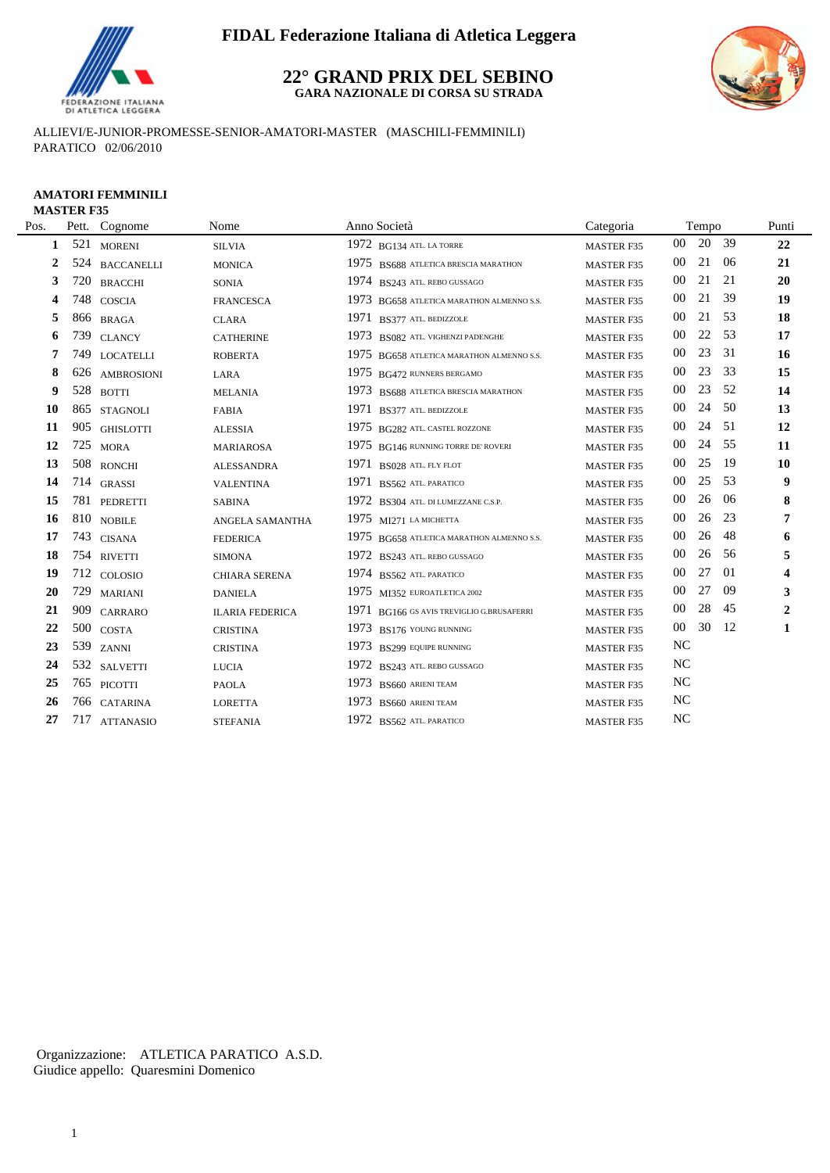

## **22° GRAND PRIX DEL SEBINO GARA NAZIONALE DI CORSA SU STRADA**



ALLIEVI/E-JUNIOR-PROMESSE-SENIOR-AMATORI-MASTER (MASCHILI-FEMMINILI) PARATICO 02/06/2010

### **AMATORI FEMMINILI MASTER F35**

| Pos.         |     | Pett. Cognome    | Nome                   | Anno Società                              | Categoria         |                  | Tempo |     | Punti                   |
|--------------|-----|------------------|------------------------|-------------------------------------------|-------------------|------------------|-------|-----|-------------------------|
| 1            | 521 | <b>MORENI</b>    | <b>SILVIA</b>          | $1972$ BG134 ATL. LA TORRE                | <b>MASTER F35</b> | 00               | 20    | 39  | 22                      |
| $\mathbf{2}$ |     | 524 BACCANELLI   | <b>MONICA</b>          | 1975 BS688 ATLETICA BRESCIA MARATHON      | <b>MASTER F35</b> | $00\,$           | 21    | 06  | 21                      |
| 3            |     | 720 BRACCHI      | <b>SONIA</b>           | 1974 BS243 ATL. REBO GUSSAGO              | <b>MASTER F35</b> | $00\,$           | 21    | 21  | 20                      |
| 4            | 748 | <b>COSCIA</b>    | <b>FRANCESCA</b>       | 1973 BG658 ATLETICA MARATHON ALMENNO S.S. | <b>MASTER F35</b> | $00\,$           | 21    | 39  | 19                      |
| 5            |     | 866 BRAGA        | <b>CLARA</b>           | 1971<br>BS377 ATL. BEDIZZOLE              | <b>MASTER F35</b> | 00               | 21    | 53  | 18                      |
| 6            | 739 | <b>CLANCY</b>    | <b>CATHERINE</b>       | 1973 BS082 ATL. VIGHENZI PADENGHE         | <b>MASTER F35</b> | $00\,$           | 22    | 53  | 17                      |
| 7            | 749 | <b>LOCATELLI</b> | <b>ROBERTA</b>         | 1975 BG658 ATLETICA MARATHON ALMENNO S.S. | <b>MASTER F35</b> | 00               | 23    | 31  | <b>16</b>               |
| 8            |     | 626 AMBROSIONI   | LARA                   | 1975 BG472 RUNNERS BERGAMO                | <b>MASTER F35</b> | $00\,$           | 23    | 33  | 15                      |
| 9            | 528 | <b>BOTTI</b>     | <b>MELANIA</b>         | 1973 BS688 ATLETICA BRESCIA MARATHON      | <b>MASTER F35</b> | $00\,$           | 23    | 52  | 14                      |
| 10           | 865 | <b>STAGNOLI</b>  | <b>FABIA</b>           | 1971 BS377 ATL. BEDIZZOLE                 | <b>MASTER F35</b> | 00               | 24    | 50  | 13                      |
| 11           | 905 | <b>GHISLOTTI</b> | <b>ALESSIA</b>         | 1975 BG282 ATL. CASTEL ROZZONE            | <b>MASTER F35</b> | 00               | 24    | 51  | 12                      |
| 12           | 725 | <b>MORA</b>      | <b>MARIAROSA</b>       | 1975 BG146 RUNNING TORRE DE' ROVERI       | <b>MASTER F35</b> | 00               | 24    | 55  | 11                      |
| 13           |     | 508 RONCHI       | <b>ALESSANDRA</b>      | 1971 BS028 ATL. FLY FLOT                  | <b>MASTER F35</b> | 00               | 25    | -19 | <b>10</b>               |
| 14           |     | 714 GRASSI       | <b>VALENTINA</b>       | 1971<br>BS562 ATL. PARATICO               | <b>MASTER F35</b> | $00\,$           | 25    | 53  | 9                       |
| 15           |     | 781 PEDRETTI     | <b>SABINA</b>          | 1972 BS304 ATL. DI LUMEZZANE C.S.P.       | <b>MASTER F35</b> | 00               | 26    | 06  | 8                       |
| 16           |     | 810 NOBILE       | ANGELA SAMANTHA        | 1975 $M1271$ LA MICHETTA                  | <b>MASTER F35</b> | 00               | 26    | 23  | 7                       |
| 17           | 743 | <b>CISANA</b>    | <b>FEDERICA</b>        | 1975 BG658 ATLETICA MARATHON ALMENNO S.S. | <b>MASTER F35</b> | 00               | 26    | 48  | 6                       |
| 18           |     | 754 RIVETTI      | <b>SIMONA</b>          | 1972 BS243 ATL. REBO GUSSAGO              | <b>MASTER F35</b> | $00\,$           | 26    | 56  | 5                       |
| 19           |     | 712 COLOSIO      | <b>CHIARA SERENA</b>   | 1974 BS562 ATL PARATICO                   | MASTER F35        | $00\,$           | 27    | 01  | $\overline{\mathbf{4}}$ |
| <b>20</b>    | 729 | <b>MARIANI</b>   | <b>DANIELA</b>         | 1975 MI352 EUROATLETICA 2002              | <b>MASTER F35</b> | 00               | 27    | 09  | 3                       |
| 21           | 909 | <b>CARRARO</b>   | <b>ILARIA FEDERICA</b> | 1971 BG166 GS AVIS TREVIGLIO G.BRUSAFERRI | <b>MASTER F35</b> | $00\,$           | 28    | 45  | $\overline{2}$          |
| 22           |     |                  | <b>CRISTINA</b>        | 1973 BS176 YOUNG RUNNING                  | <b>MASTER F35</b> | $00\,$           | 30    | -12 | 1                       |
| 23           | 539 | <b>ZANNI</b>     | <b>CRISTINA</b>        | 1973 BS299 EQUIPE RUNNING                 | <b>MASTER F35</b> | <b>NC</b>        |       |     |                         |
| 24           |     | 532 SALVETTI     | <b>LUCIA</b>           | 1972 BS243 ATL. REBO GUSSAGO              | <b>MASTER F35</b> | NC               |       |     |                         |
| 25           |     | 765 PICOTTI      | <b>PAOLA</b>           | 1973 BS660 ARIENI TEAM                    | <b>MASTER F35</b> | $_{\mathrm{NC}}$ |       |     |                         |
| 26           |     | 766 CATARINA     | <b>LORETTA</b>         | 1973 BS660 ARIENI TEAM                    | <b>MASTER F35</b> | $_{\mathrm{NC}}$ |       |     |                         |
| 27           |     | 717 ATTANASIO    | <b>STEFANIA</b>        | 1972 BS562 ATL PARATICO                   | <b>MASTER F35</b> | NC               |       |     |                         |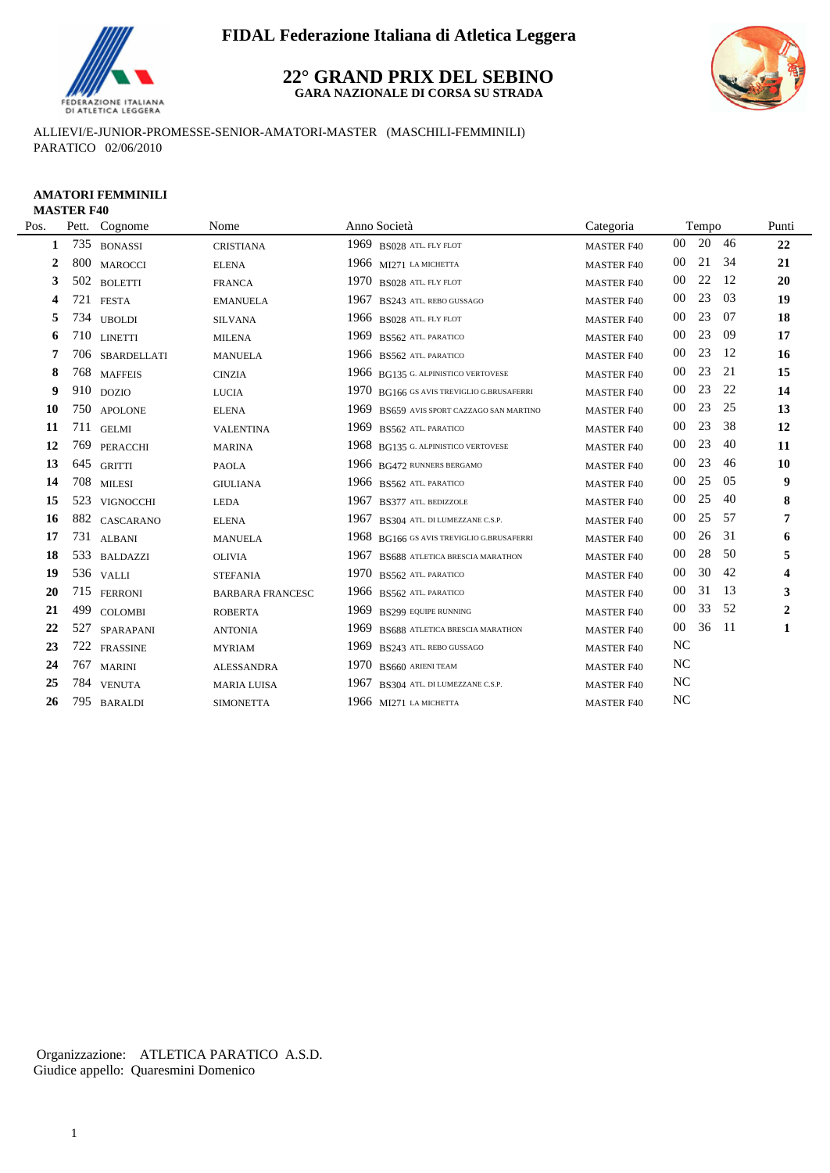

## **22° GRAND PRIX DEL SEBINO GARA NAZIONALE DI CORSA SU STRADA**



ALLIEVI/E-JUNIOR-PROMESSE-SENIOR-AMATORI-MASTER (MASCHILI-FEMMINILI) PARATICO 02/06/2010

### **AMATORI FEMMINILI MASTER F40**

| Pos.         | Pett. | Cognome         | Nome                    | Anno Società                                 | Categoria         |        | Tempo |     | Punti            |
|--------------|-------|-----------------|-------------------------|----------------------------------------------|-------------------|--------|-------|-----|------------------|
| 1            | 735   | <b>BONASSI</b>  | <b>CRISTIANA</b>        | 1969 BS028 ATL. FLY FLOT                     | <b>MASTER F40</b> | 00     | 20 46 |     | 22               |
| $\mathbf{2}$ | 800   | <b>MAROCCI</b>  | <b>ELENA</b>            | 1966 $M1271$ LA MICHETTA                     | <b>MASTER F40</b> | 00     | 21    | -34 | 21               |
| 3            |       | 502 BOLETTI     | <b>FRANCA</b>           | 1970 BS028 ATL FLY FLOT                      | <b>MASTER F40</b> | 00     | 22    | 12  | 20               |
| 4            | 721   | <b>FESTA</b>    | <b>EMANUELA</b>         | 1967<br>BS243 ATL. REBO GUSSAGO              | <b>MASTER F40</b> | 00     | 23    | 03  | 19               |
| 5            |       | 734 UBOLDI      | <b>SILVANA</b>          | 1966 BS028 ATL. FLY FLOT                     | <b>MASTER F40</b> | 00     | 23    | 07  | 18               |
| 6            | 710   | <b>LINETTI</b>  | <b>MILENA</b>           | 1969<br>BS562 ATL PARATICO                   | <b>MASTER F40</b> | 00     | 23    | -09 | 17               |
| 7            | 706   | SBARDELLATI     | <b>MANUELA</b>          | 1966 BS562 ATL PARATICO                      | <b>MASTER F40</b> | 00     | 23    | 12  | 16               |
| 8            | 768   | <b>MAFFEIS</b>  | <b>CINZIA</b>           | 1966 BG135 G. ALPINISTICO VERTOVESE          | <b>MASTER F40</b> | 00     | 23    | 21  | 15               |
| 9            | 910   | <b>DOZIO</b>    | <b>LUCIA</b>            | 1970 BG166 GS AVIS TREVIGLIO G.BRUSAFERRI    | <b>MASTER F40</b> | 00     | 23    | 22  | 14               |
| 10           |       | 750 APOLONE     | <b>ELENA</b>            | 1969 BS659 AVIS SPORT CAZZAGO SAN MARTINO    | <b>MASTER F40</b> | 00     | 23    | 25  | 13               |
| 11           | 711   | <b>GELMI</b>    | <b>VALENTINA</b>        | 1969 BS562 ATL. PARATICO                     | <b>MASTER F40</b> | $00\,$ | 23    | 38  | 12               |
| 12           | 769   | PERACCHI        | <b>MARINA</b>           | 1968 BG135 G. ALPINISTICO VERTOVESE          | <b>MASTER F40</b> | 00     | 23    | 40  | 11               |
| 13           | 645   | <b>GRITTI</b>   | <b>PAOLA</b>            | 1966 BG472 RUNNERS BERGAMO                   | <b>MASTER F40</b> | 00     | 23    | 46  | 10               |
| 14           |       | 708 MILESI      | <b>GIULIANA</b>         | 1966 BS562 ATL. PARATICO                     | <b>MASTER F40</b> | 00     | 25    | 05  | 9                |
| 15           |       | 523 VIGNOCCHI   | <b>LEDA</b>             | 1967<br>BS377 ATL. BEDIZZOLE                 | <b>MASTER F40</b> | 00     | 25    | 40  | $\bf{8}$         |
| 16           |       | 882 CASCARANO   | <b>ELENA</b>            | 1967<br>BS304 ATL. DI LUMEZZANE C.S.P.       | <b>MASTER F40</b> | 00     | 25    | 57  | 7                |
| 17           | 731   | <b>ALBANI</b>   | <b>MANUELA</b>          | 1968<br>BG166 GS AVIS TREVIGLIO G.BRUSAFERRI | <b>MASTER F40</b> | 00     | 26    | 31  | 6                |
| 18           | 533   | <b>BALDAZZI</b> | <b>OLIVIA</b>           | 1967<br>BS688 ATLETICA BRESCIA MARATHON      | <b>MASTER F40</b> | 00     | 28    | 50  | 5                |
| 19           |       | 536 VALLI       | <b>STEFANIA</b>         | 1970<br>BS562 ATL PARATICO                   | <b>MASTER F40</b> | 00     | 30    | 42  | 4                |
| 20           |       | 715 FERRONI     | <b>BARBARA FRANCESC</b> | 1966 BS562 ATL. PARATICO                     | <b>MASTER F40</b> | 00     | 31    | 13  | 3                |
| 21           | 499   | <b>COLOMBI</b>  | <b>ROBERTA</b>          | 1969<br><b>BS299 EQUIPE RUNNING</b>          | <b>MASTER F40</b> | 00     | 33    | 52  | $\boldsymbol{2}$ |
| 22           | 527   | SPARAPANI       | <b>ANTONIA</b>          | 1969<br>BS688 ATLETICA BRESCIA MARATHON      | <b>MASTER F40</b> | $00\,$ | 36    | -11 | 1                |
| 23           | 722   | <b>FRASSINE</b> | <b>MYRIAM</b>           | 1969<br>BS243 ATL. REBO GUSSAGO              | <b>MASTER F40</b> | NC     |       |     |                  |
| 24           | 767   | <b>MARINI</b>   | <b>ALESSANDRA</b>       | 1970<br>BS660 ARIENI TEAM                    | <b>MASTER F40</b> | NC     |       |     |                  |
| 25           |       | 784 VENUTA      | <b>MARIA LUISA</b>      | 1967<br>BS304 ATL. DI LUMEZZANE C.S.P.       | <b>MASTER F40</b> | NC     |       |     |                  |
| 26           | 795   | <b>BARALDI</b>  | <b>SIMONETTA</b>        | 1966 MI271 LA MICHETTA                       | <b>MASTER F40</b> | NC     |       |     |                  |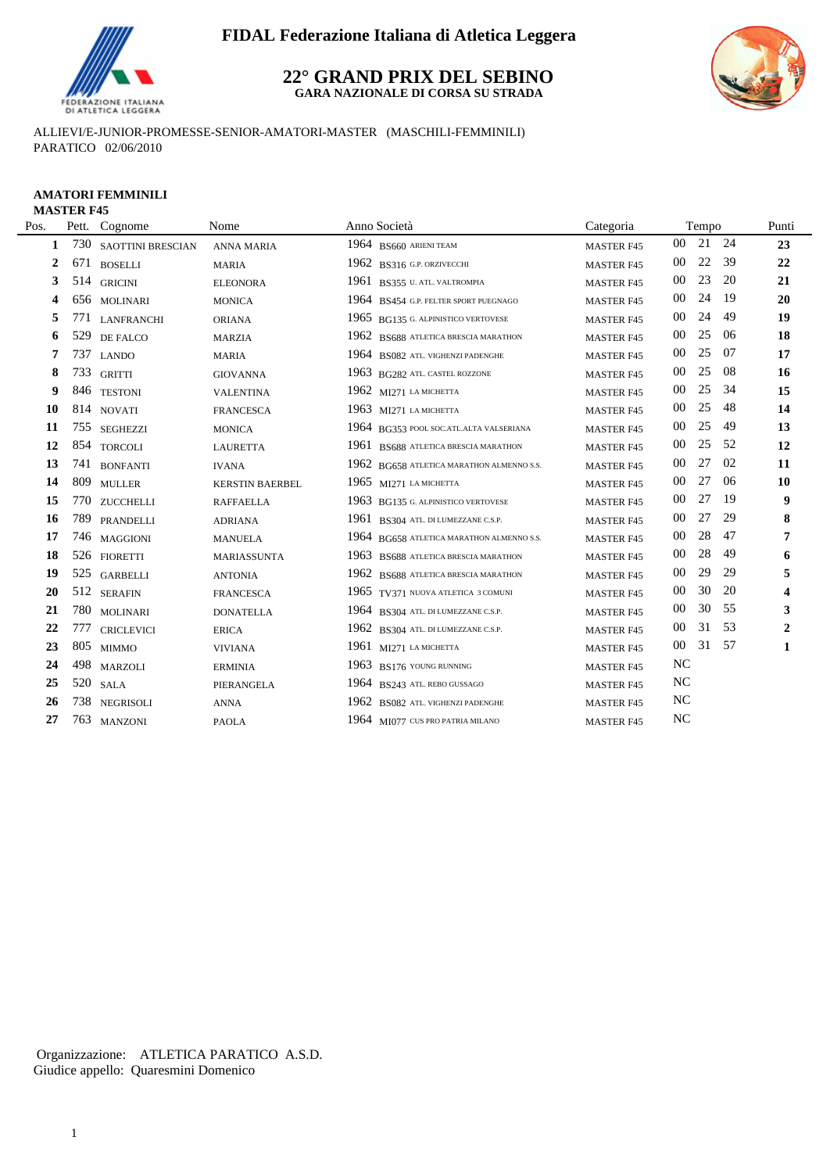

## **22° GRAND PRIX DEL SEBINO GARA NAZIONALE DI CORSA SU STRADA**



ALLIEVI/E-JUNIOR-PROMESSE-SENIOR-AMATORI-MASTER (MASCHILI-FEMMINILI) PARATICO 02/06/2010

### **AMATORI FEMMINILI MASTER F45**

| Pos. |     | Pett. Cognome     | Nome                   | Anno Società                              | Categoria         |           | Tempo    |               | Punti            |
|------|-----|-------------------|------------------------|-------------------------------------------|-------------------|-----------|----------|---------------|------------------|
| 1    | 730 | SAOTTINI BRESCIAN | <b>ANNA MARIA</b>      | $1964$ BS660 ARIENI TEAM                  | <b>MASTER F45</b> |           | 00 21 24 |               | 23               |
| 2    |     | 671 BOSELLI       | <b>MARIA</b>           | 1962 BS316 G.P. ORZIVECCHI                | <b>MASTER F45</b> | $00\,$    | 22       | 39            | 22               |
| 3    |     | 514 GRICINI       | <b>ELEONORA</b>        | 1961 BS355 U. ATL. VALTROMPIA             | <b>MASTER F45</b> | $00\,$    | 23       | <sup>20</sup> | 21               |
| 4    |     | 656 MOLINARI      | <b>MONICA</b>          | 1964 BS454 G.P. FELTER SPORT PUEGNAGO     | <b>MASTER F45</b> | 00        | 24       | -19           | 20               |
| 5    | 771 | <b>LANFRANCHI</b> | <b>ORIANA</b>          | 1965 BG135 G. ALPINISTICO VERTOVESE       | <b>MASTER F45</b> | $00\,$    | 24       | 49            | 19               |
| 6    | 529 | <b>DE FALCO</b>   | <b>MARZIA</b>          | 1962 BS688 ATLETICA BRESCIA MARATHON      | <b>MASTER F45</b> | $00\,$    | 25       | 06            | 18               |
| 7    | 737 | <b>LANDO</b>      | <b>MARIA</b>           | 1964 BS082 ATL. VIGHENZI PADENGHE         | <b>MASTER F45</b> | $00\,$    | 25       | 07            | 17               |
| 8    | 733 | <b>GRITTI</b>     | <b>GIOVANNA</b>        | 1963 BG282 ATL. CASTEL ROZZONE            | <b>MASTER F45</b> | $00\,$    | 25       | 08            | 16               |
| 9    |     | 846 TESTONI       | <b>VALENTINA</b>       | 1962 $M1271$ LA MICHETTA                  | <b>MASTER F45</b> | 00        | 25       | 34            | 15               |
| 10   |     | 814 NOVATI        | <b>FRANCESCA</b>       | 1963 MI271 LA MICHETTA                    | <b>MASTER F45</b> | 00        | 25       | 48            | 14               |
| 11   |     | 755 SEGHEZZI      | <b>MONICA</b>          | 1964 BG353 POOL SOC.ATL.ALTA VALSERIANA   | <b>MASTER F45</b> | $00\,$    | 25       | 49            | 13               |
| 12   |     | 854 TORCOLI       | <b>LAURETTA</b>        | 1961 BS688 ATLETICA BRESCIA MARATHON      | <b>MASTER F45</b> | 00        | 25       | 52            | 12               |
| 13   |     | 741 BONFANTI      | <b>IVANA</b>           | 1962 BG658 ATLETICA MARATHON ALMENNO S.S. | <b>MASTER F45</b> | 00        | 27       | 02            | 11               |
| 14   |     | 809 MULLER        | <b>KERSTIN BAERBEL</b> | 1965 MI271 LA MICHETTA                    | <b>MASTER F45</b> | 00        | 27       | 06            | 10               |
| 15   |     | 770 ZUCCHELLI     | <b>RAFFAELLA</b>       | 1963 BG135 G. ALPINISTICO VERTOVESE       | <b>MASTER F45</b> | 00        | 27       | -19           | 9                |
| 16   | 789 | PRANDELLI         | <b>ADRIANA</b>         | 1961 BS304 ATL. DI LUMEZZANE C.S.P.       | <b>MASTER F45</b> | 00        | 27       | 29            | 8                |
| 17   |     | 746 MAGGIONI      | <b>MANUELA</b>         | 1964 BG658 ATLETICA MARATHON ALMENNO S.S. | <b>MASTER F45</b> | $00\,$    | 28       | 47            | 7                |
| 18   |     | 526 FIORETTI      | MARIASSUNTA            | 1963 BS688 ATLETICA BRESCIA MARATHON      | <b>MASTER F45</b> | 00        | 28       | 49            | 6                |
| 19   |     | 525 GARBELLI      | <b>ANTONIA</b>         | 1962 BS688 ATLETICA BRESCIA MARATHON      | <b>MASTER F45</b> | 00        | 29       | 29            | 5                |
| 20   |     | 512 SERAFIN       | <b>FRANCESCA</b>       | 1965 TV371 NUOVA ATLETICA 3 COMUNI        | <b>MASTER F45</b> | 00        | 30       | 20            | 4                |
| 21   |     | 780 MOLINARI      | <b>DONATELLA</b>       | 1964 BS304 ATL. DI LUMEZZANE C.S.P.       | <b>MASTER F45</b> | 00        | 30       | 55            | 3                |
| 22   | 777 | <b>CRICLEVICI</b> | <b>ERICA</b>           | 1962 BS304 ATL. DI LUMEZZANE C.S.P.       | <b>MASTER F45</b> | 00        | 31       | 53            | $\boldsymbol{2}$ |
| 23   |     | 805 MIMMO         | <b>VIVIANA</b>         | 1961 $M1271$ LA MICHETTA                  | <b>MASTER F45</b> | $00\,$    | 31       | 57            | 1                |
| 24   | 498 | <b>MARZOLI</b>    | <b>ERMINIA</b>         | 1963 BS176 YOUNG RUNNING                  | <b>MASTER F45</b> | <b>NC</b> |          |               |                  |
| 25   | 520 | <b>SALA</b>       | PIERANGELA             | 1964 BS243 ATL. REBO GUSSAGO              | <b>MASTER F45</b> | <b>NC</b> |          |               |                  |
| 26   |     | 738 NEGRISOLI     | <b>ANNA</b>            | 1962 BS082 ATL. VIGHENZI PADENGHE         | <b>MASTER F45</b> | NC        |          |               |                  |
| 27   |     | 763 MANZONI       | <b>PAOLA</b>           | 1964 MI077 CUS PRO PATRIA MILANO          | <b>MASTER F45</b> | <b>NC</b> |          |               |                  |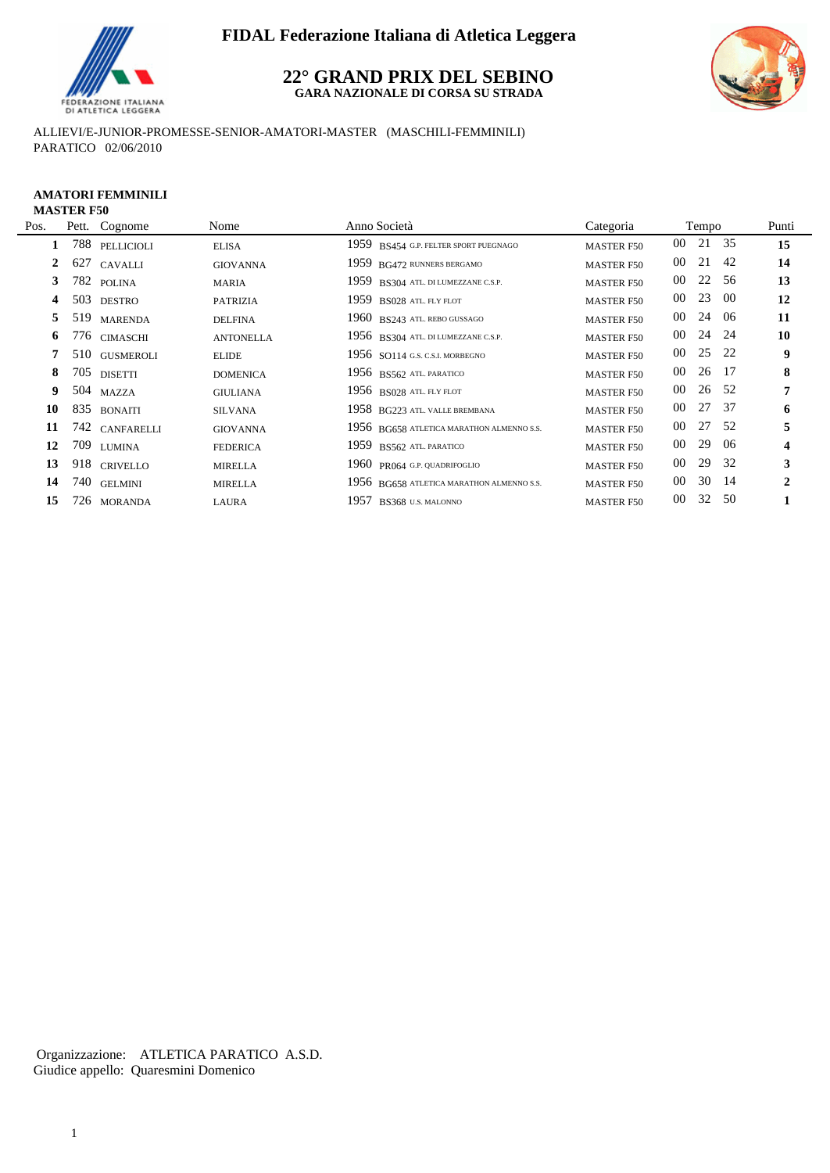

## **22° GRAND PRIX DEL SEBINO GARA NAZIONALE DI CORSA SU STRADA**



ALLIEVI/E-JUNIOR-PROMESSE-SENIOR-AMATORI-MASTER (MASCHILI-FEMMINILI) PARATICO 02/06/2010

### **AMATORI FEMMINILI MASTER F50**

| Pos.         | Pett. Cognome  | Nome             | Anno Società                              | Categoria         |        | Tempo    |      | Punti        |
|--------------|----------------|------------------|-------------------------------------------|-------------------|--------|----------|------|--------------|
|              | 788 PELLICIOLI | <b>ELISA</b>     | 1959 BS454 G.P. FELTER SPORT PUEGNAGO     | <b>MASTER F50</b> |        | 00 21 35 |      | 15           |
| $\mathbf{2}$ | 627 CAVALLI    | <b>GIOVANNA</b>  | 1959 BG472 RUNNERS BERGAMO                | <b>MASTER F50</b> | 00     | 21       | -42  | 14           |
| 3            | 782 POLINA     | MARIA            | 1959 BS304 ATL. DI LUMEZZANE C.S.P.       | <b>MASTER F50</b> | $00\,$ | 22 56    |      | 13           |
| 4            | 503 DESTRO     | <b>PATRIZIA</b>  | 1959 BS028 ATL. FLY FLOT                  | <b>MASTER F50</b> | 00     | 23       | -00  | 12           |
| 5.           | 519 MARENDA    | <b>DELFINA</b>   | 1960 BS243 ATL. REBO GUSSAGO              | <b>MASTER F50</b> | 00     | 24       | -06  | 11           |
| 6            | 776 CIMASCHI   | <b>ANTONELLA</b> | 1956 BS304 ATL. DI LUMEZZANE C.S.P.       | <b>MASTER F50</b> | 00     | 24 24    |      | 10           |
|              | 510 GUSMEROLI  | <b>ELIDE</b>     | 1956 $SO114$ G.S. C.S.I. MORBEGNO         | <b>MASTER F50</b> | $00\,$ | 25       | - 22 | 9            |
| 8            | 705 DISETTI    | <b>DOMENICA</b>  | 1956 BS562 ATL PARATICO                   | <b>MASTER F50</b> | 00     | 26 17    |      | 8            |
| 9            | 504 MAZZA      | <b>GIULIANA</b>  | 1956 BS028 ATL FLY FLOT                   | <b>MASTER F50</b> | $00\,$ | 26 52    |      | 7            |
| 10           | 835 BONAITI    | <b>SILVANA</b>   | 1958 BG223 ATL. VALLE BREMBANA            | <b>MASTER F50</b> | $00\,$ | 27       | - 37 | 6            |
| 11           | 742 CANFARELLI | <b>GIOVANNA</b>  | 1956 BG658 ATLETICA MARATHON ALMENNO S.S. | <b>MASTER F50</b> | $00\,$ | 27 52    |      | 5            |
| 12           | 709 LUMINA     | <b>FEDERICA</b>  | 1959 BS562 ATL PARATICO                   | <b>MASTER F50</b> | 00     | 29       | -06  | 4            |
| 13           | 918 CRIVELLO   | <b>MIRELLA</b>   | 1960 PR064 G.P. QUADRIFOGLIO              | <b>MASTER F50</b> | 00     | 29       | - 32 | 3            |
| 14           | 740 GELMINI    | <b>MIRELLA</b>   | 1956 BG658 ATLETICA MARATHON ALMENNO S.S. | <b>MASTER F50</b> | $00\,$ | 30 14    |      | $\mathbf{2}$ |
| 15           | 726 MORANDA    | LAURA            | 1957 BS368 U.S. MALONNO                   | <b>MASTER F50</b> | 00     | 32 50    |      |              |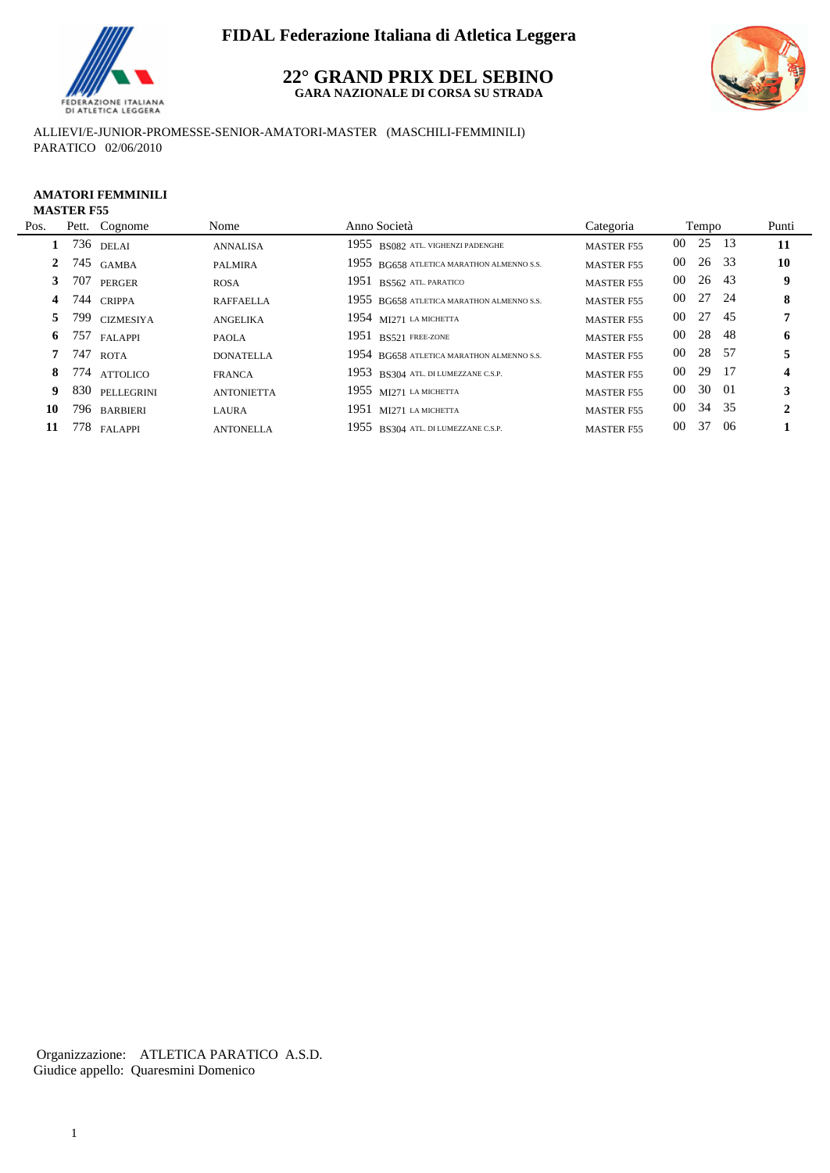

## **22° GRAND PRIX DEL SEBINO GARA NAZIONALE DI CORSA SU STRADA**



ALLIEVI/E-JUNIOR-PROMESSE-SENIOR-AMATORI-MASTER (MASCHILI-FEMMINILI) PARATICO 02/06/2010

### **AMATORI FEMMINILI MASTER F55**

| Pos.         | Pett. Cognome  | Nome              | Anno Società                              | Categoria         | Tempo    |     | Punti            |
|--------------|----------------|-------------------|-------------------------------------------|-------------------|----------|-----|------------------|
|              | 736 delai      | <b>ANNALISA</b>   | 1955 BS082 ATL. VIGHENZI PADENGHE         | <b>MASTER F55</b> | 00 25 13 |     | <b>11</b>        |
| $\mathbf{2}$ | 745 GAMBA      | <b>PALMIRA</b>    | 1955 BG658 ATLETICA MARATHON ALMENNO S.S. | <b>MASTER F55</b> | 00 26 33 |     | 10               |
|              | 707 PERGER     | <b>ROSA</b>       | 1951 BS562 ATL PARATICO                   | <b>MASTER F55</b> | 00 26 43 |     | 9                |
| 4            | 744 CRIPPA     | <b>RAFFAELLA</b>  | 1955 BG658 ATLETICA MARATHON ALMENNO S.S. | <b>MASTER F55</b> | 00 27 24 |     | 8                |
| 5            | 799 CIZMESIYA  | <b>ANGELIKA</b>   | 1954 MI271 LA MICHETTA                    | <b>MASTER F55</b> | 00 27 45 |     |                  |
|              | 6 757 FALAPPI  | <b>PAOLA</b>      | $1951$ BS521 FREE-ZONE                    | <b>MASTER F55</b> | 00 28 48 |     | 6                |
|              | 747 ROTA       | <b>DONATELLA</b>  | 1954 BG658 ATLETICA MARATHON ALMENNO S.S. | <b>MASTER F55</b> | 00 28 57 |     |                  |
| 8            | 774 attolico   | <b>FRANCA</b>     | 1953 BS304 ATL DI LUMEZZANE C.S.P.        | <b>MASTER F55</b> | 00 29 17 |     | $\boldsymbol{4}$ |
| 9            | 830 PELLEGRINI | <b>ANTONIETTA</b> | 1955 MI271 LA MICHETTA                    | <b>MASTER F55</b> | 00 30 01 |     | 3                |
| 10           | 796 barbieri   | LAURA             | 1951 MI271 LA MICHETTA                    | <b>MASTER F55</b> | 00 34 35 |     | 2                |
| 11           | 778 FALAPPI    | <b>ANTONELLA</b>  | 1955 BS304 ATL. DI LUMEZZANE C.S.P.       | <b>MASTER F55</b> | 00 37    | -06 |                  |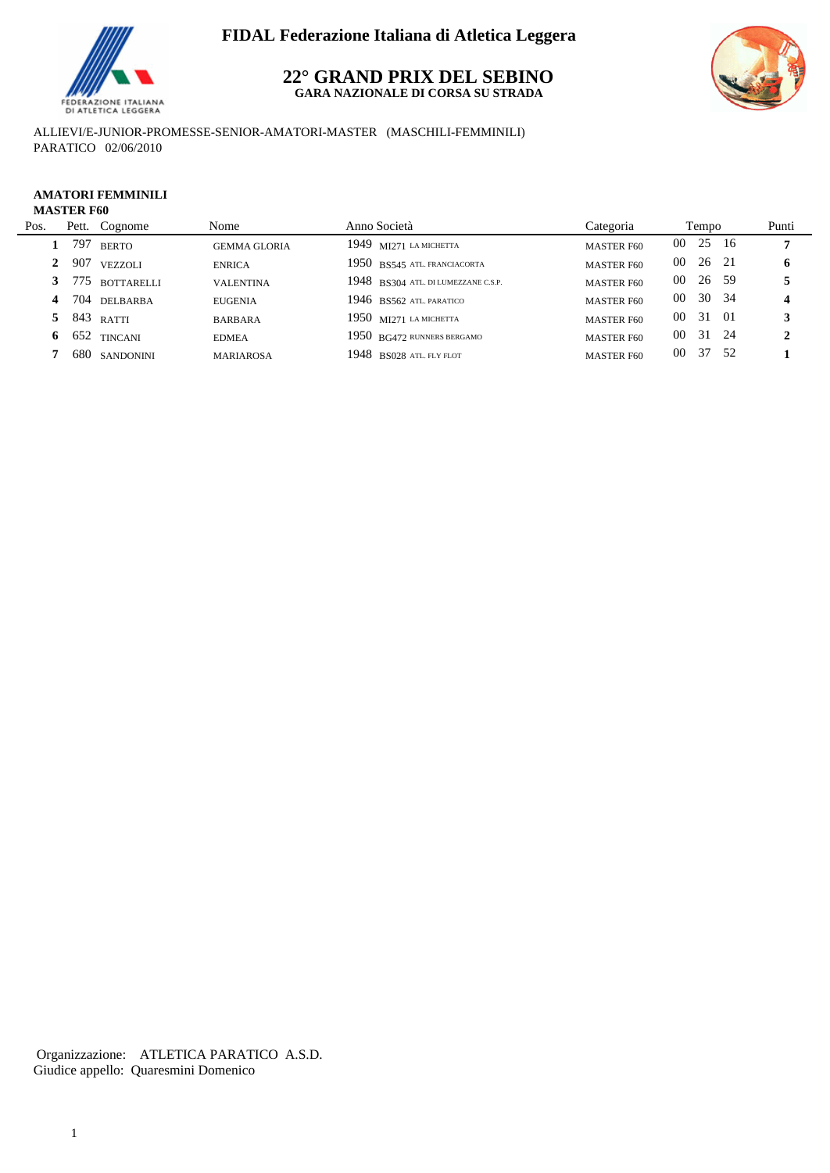

## **22° GRAND PRIX DEL SEBINO GARA NAZIONALE DI CORSA SU STRADA**



ALLIEVI/E-JUNIOR-PROMESSE-SENIOR-AMATORI-MASTER (MASCHILI-FEMMINILI) PARATICO 02/06/2010

# **AMATORI FEMMINILI**

## Pos. Pett. Cognome Nome Nome Anno Società Categoria Tempo Punti **MASTER F60 1** 797 BERTO GEMMA GLORIA 1949 MI271 LA MICHETTA MASTER F60 00 25 16 7  **2** 907 VEZZOLI ENRICA 1950 BS545 ATL. FRANCIACORTA MASTER F60 00 26 21 **6 3** 775 BOTTARELLI VALENTINA 1948 BS304 ATL. DI LUMEZZANE C.S.P. MASTER F60 00 26 59 5  **4** 704 DELBARBA EUGENIA 1946 BS562 ATL. PARATICO MASTER F60 00 30 34 **4 5** 843 RATTI BARBARA 1950 MI271 LA MICHETTA MASTER F60 00 31 01 **3 6** 652 TINCANI EDMEA 1950 BG472 RUNNERS BERGAMO MASTER F60 00 31 24 **2 7** 680 SANDONINI MARIAROSA 1948 BS028 ATL. FLY FLOT MASTER F60 00 37 52 **1**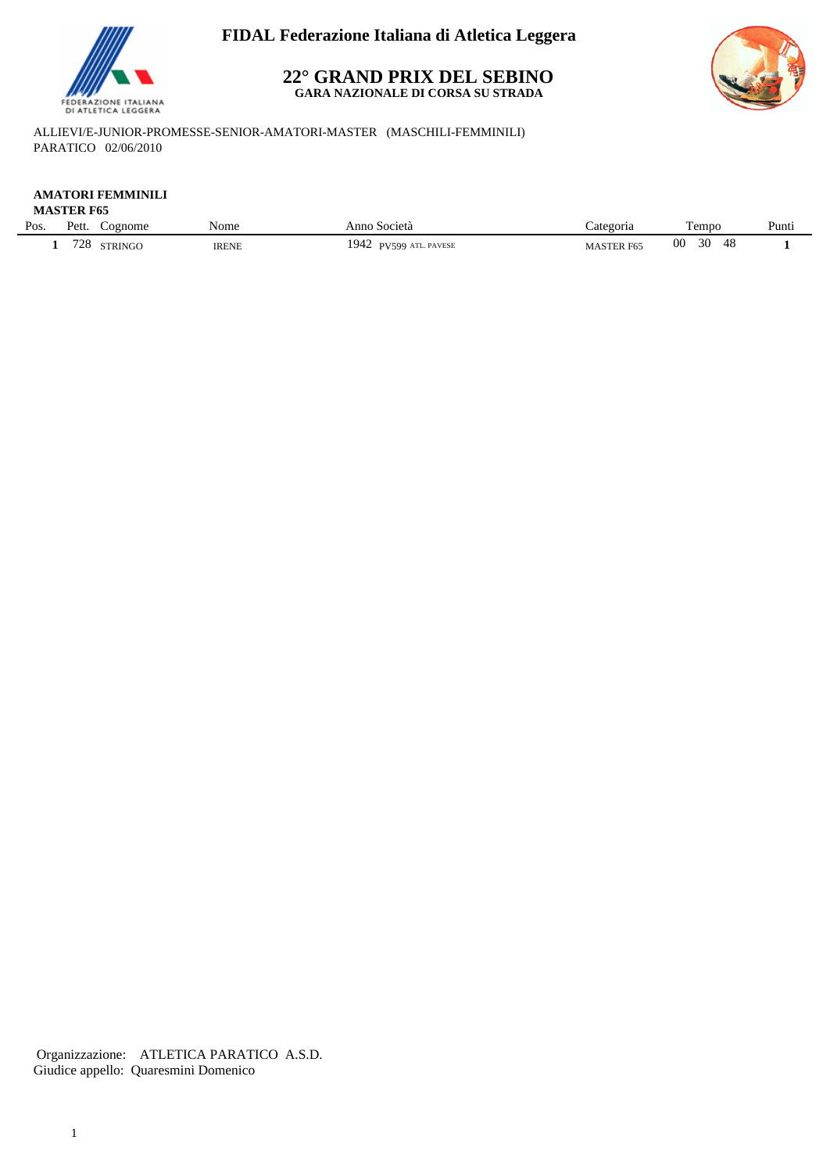

## **22° GRAND PRIX DEL SEBINO GARA NAZIONALE DI CORSA SU STRADA**



ALLIEVI/E-JUNIOR-PROMESSE-SENIOR-AMATORI-MASTER (MASCHILI-FEMMINILI) PARATICO 02/06/2010

#### **AMATORI FEMMINILI MASTER F65**

|      | 11119 LEIVE V. |               |              |                                     |                  |                       |       |
|------|----------------|---------------|--------------|-------------------------------------|------------------|-----------------------|-------|
| Pos. | Pett.          | ognome        | Nome         | Anno<br>Società                     | ategoria         | $\sim$<br>rempo       | Punti |
|      | 728            | <b>TRINGC</b> | <b>IRENE</b> | 1942<br>ATL. PAVESE<br><b>PV599</b> | <b>MASTER F6</b> | 00<br>30<br>1 O<br>40 |       |